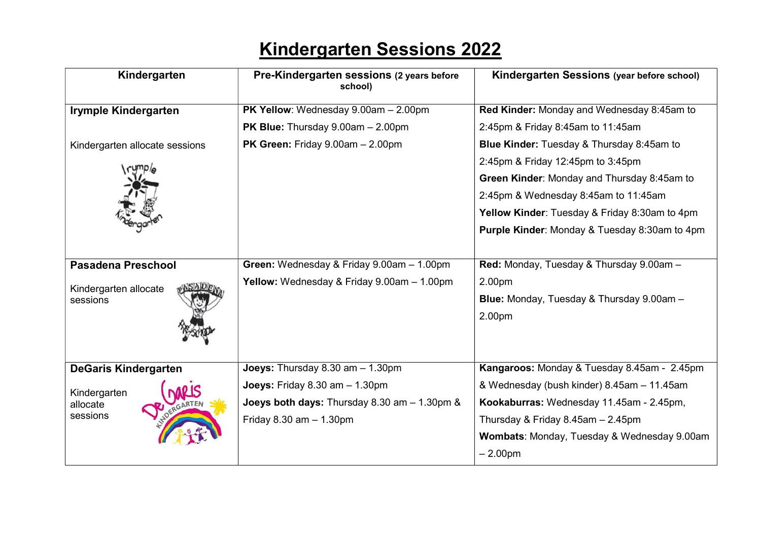## Kindergarten Sessions 2022

| Kindergarten                         | Pre-Kindergarten sessions (2 years before<br>school) | Kindergarten Sessions (year before school)               |
|--------------------------------------|------------------------------------------------------|----------------------------------------------------------|
| <b>Irymple Kindergarten</b>          | PK Yellow: Wednesday 9.00am - 2.00pm                 | Red Kinder: Monday and Wednesday 8:45am to               |
|                                      | <b>PK Blue:</b> Thursday $9.00$ am $- 2.00$ pm       | 2:45pm & Friday 8:45am to 11:45am                        |
| Kindergarten allocate sessions       | <b>PK Green:</b> Friday $9.00$ am $- 2.00$ pm        | <b>Blue Kinder: Tuesday &amp; Thursday 8:45am to</b>     |
|                                      |                                                      | 2:45pm & Friday 12:45pm to 3:45pm                        |
|                                      |                                                      | Green Kinder: Monday and Thursday 8:45am to              |
|                                      |                                                      | 2:45pm & Wednesday 8:45am to 11:45am                     |
|                                      |                                                      | Yellow Kinder: Tuesday & Friday 8:30am to 4pm            |
|                                      |                                                      | <b>Purple Kinder: Monday &amp; Tuesday 8:30am to 4pm</b> |
|                                      |                                                      |                                                          |
| <b>Pasadena Preschool</b>            | Green: Wednesday & Friday 9.00am - 1.00pm            | Red: Monday, Tuesday & Thursday 9.00am -                 |
| Kindergarten allocate<br>sessions    | Yellow: Wednesday & Friday 9.00am - 1.00pm           | 2.00pm                                                   |
|                                      |                                                      | Blue: Monday, Tuesday & Thursday 9.00am -                |
|                                      |                                                      | 2.00pm                                                   |
|                                      |                                                      |                                                          |
|                                      |                                                      |                                                          |
| <b>DeGaris Kindergarten</b>          | <b>Joeys:</b> Thursday $8.30$ am $- 1.30$ pm         | Kangaroos: Monday & Tuesday 8.45am - 2.45pm              |
| Kindergarten<br>allocate<br>sessions | Joeys: Friday 8.30 am - 1.30pm                       | & Wednesday (bush kinder) 8.45am - 11.45am               |
|                                      | Joeys both days: Thursday 8.30 am - 1.30pm &         | Kookaburras: Wednesday 11.45am - 2.45pm,                 |
|                                      | Friday $8.30$ am $- 1.30$ pm                         | Thursday & Friday 8.45am - 2.45pm                        |
|                                      |                                                      | Wombats: Monday, Tuesday & Wednesday 9.00am              |
|                                      |                                                      | $-2.00pm$                                                |
|                                      |                                                      |                                                          |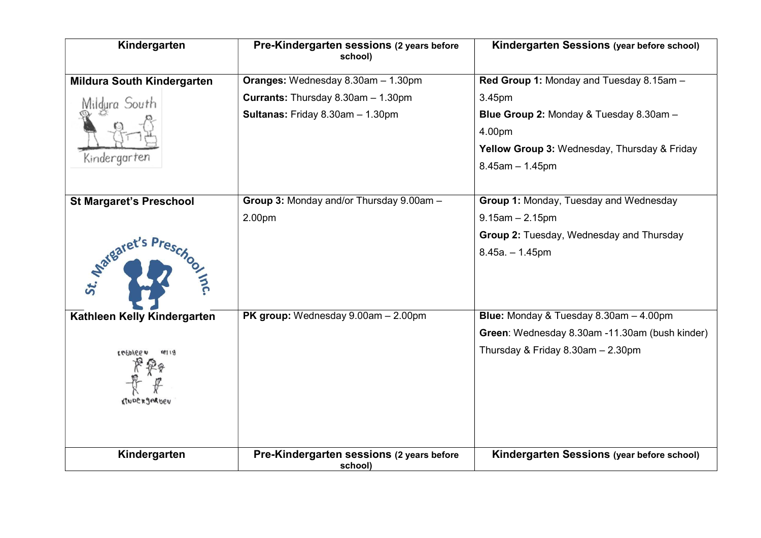| Kindergarten                        | Pre-Kindergarten sessions (2 years before<br>school) | Kindergarten Sessions (year before school)     |
|-------------------------------------|------------------------------------------------------|------------------------------------------------|
| <b>Mildura South Kindergarten</b>   | Oranges: Wednesday 8.30am - 1.30pm                   | Red Group 1: Monday and Tuesday 8.15am -       |
| Mildura South                       | Currants: Thursday 8.30am - 1.30pm                   | 3.45pm                                         |
|                                     | Sultanas: Friday 8.30am - 1.30pm                     | Blue Group 2: Monday & Tuesday 8.30am -        |
|                                     |                                                      | 4.00pm                                         |
|                                     |                                                      | Yellow Group 3: Wednesday, Thursday & Friday   |
| Kindergarten                        |                                                      | $8.45$ am $- 1.45$ pm                          |
|                                     |                                                      |                                                |
| <b>St Margaret's Preschool</b>      | Group 3: Monday and/or Thursday 9.00am -             | Group 1: Monday, Tuesday and Wednesday         |
|                                     | 2.00pm                                               | $9.15$ am $- 2.15$ pm                          |
|                                     |                                                      | Group 2: Tuesday, Wednesday and Thursday       |
| o mc.                               |                                                      | $8.45a - 1.45p$ m                              |
| Kathleen Kelly Kindergarten         | PK group: Wednesday 9.00am - 2.00pm                  | Blue: Monday & Tuesday 8.30am - 4.00pm         |
|                                     |                                                      | Green: Wednesday 8.30am -11.30am (bush kinder) |
| 18119<br>LEFUIGE OF<br>KINDERJARDEN |                                                      | Thursday & Friday 8.30am - 2.30pm              |
| Kindergarten                        | Pre-Kindergarten sessions (2 years before            | Kindergarten Sessions (year before school)     |
|                                     | school)                                              |                                                |